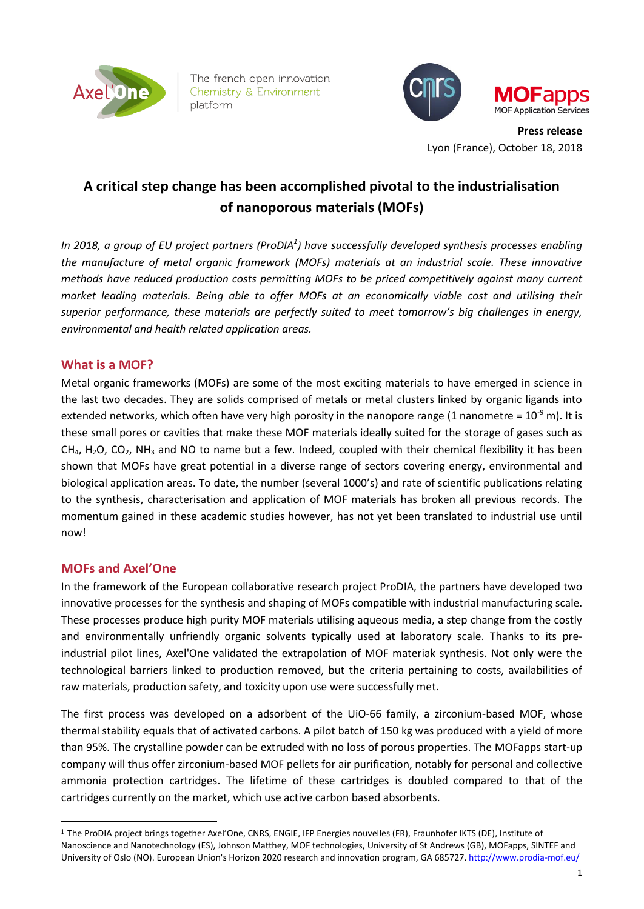

The french open innovation Chemistry & Environment platform



**Press release** Lyon (France), October 18, 2018

# **A critical step change has been accomplished pivotal to the industrialisation of nanoporous materials (MOFs)**

*In 2018, a group of EU project partners (ProDIA<sup>1</sup> ) have successfully developed synthesis processes enabling the manufacture of metal organic framework (MOFs) materials at an industrial scale. These innovative methods have reduced production costs permitting MOFs to be priced competitively against many current market leading materials. Being able to offer MOFs at an economically viable cost and utilising their superior performance, these materials are perfectly suited to meet tomorrow's big challenges in energy, environmental and health related application areas.* 

# **What is a MOF?**

Metal organic frameworks (MOFs) are some of the most exciting materials to have emerged in science in the last two decades. They are solids comprised of metals or metal clusters linked by organic ligands into extended networks, which often have very high porosity in the nanopore range (1 nanometre =  $10^{-9}$  m). It is these small pores or cavities that make these MOF materials ideally suited for the storage of gases such as  $CH<sub>4</sub>$ , H<sub>2</sub>O, CO<sub>2</sub>, NH<sub>3</sub> and NO to name but a few. Indeed, coupled with their chemical flexibility it has been shown that MOFs have great potential in a diverse range of sectors covering energy, environmental and biological application areas. To date, the number (several 1000's) and rate of scientific publications relating to the synthesis, characterisation and application of MOF materials has broken all previous records. The momentum gained in these academic studies however, has not yet been translated to industrial use until now!

# **MOFs and Axel'One**

-

In the framework of the European collaborative research project ProDIA, the partners have developed two innovative processes for the synthesis and shaping of MOFs compatible with industrial manufacturing scale. These processes produce high purity MOF materials utilising aqueous media, a step change from the costly and environmentally unfriendly organic solvents typically used at laboratory scale. Thanks to its preindustrial pilot lines, Axel'One validated the extrapolation of MOF materiak synthesis. Not only were the technological barriers linked to production removed, but the criteria pertaining to costs, availabilities of raw materials, production safety, and toxicity upon use were successfully met.

The first process was developed on a adsorbent of the UiO-66 family, a zirconium-based MOF, whose thermal stability equals that of activated carbons. A pilot batch of 150 kg was produced with a yield of more than 95%. The crystalline powder can be extruded with no loss of porous properties. The MOFapps start-up company will thus offer zirconium-based MOF pellets for air purification, notably for personal and collective ammonia protection cartridges. The lifetime of these cartridges is doubled compared to that of the cartridges currently on the market, which use active carbon based absorbents.

<sup>1</sup> The ProDIA project brings together Axel'One, CNRS, ENGIE, IFP Energies nouvelles (FR), Fraunhofer IKTS (DE), Institute of Nanoscience and Nanotechnology (ES), Johnson Matthey, MOF technologies, University of St Andrews (GB), MOFapps, SINTEF and University of Oslo (NO). European Union's Horizon 2020 research and innovation program, GA 685727.<http://www.prodia-mof.eu/>